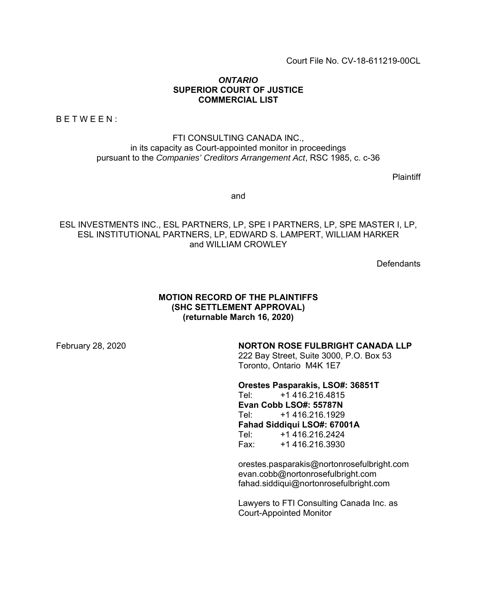Court File No. CV-18-611219-00CL

### *ONTARIO* **SUPERIOR COURT OF JUSTICE COMMERCIAL LIST**

BETWEEN:

FTI CONSULTING CANADA INC., in its capacity as Court-appointed monitor in proceedings pursuant to the *Companies' Creditors Arrangement Act*, RSC 1985, c. c-36

**Plaintiff** 

and

ESL INVESTMENTS INC., ESL PARTNERS, LP, SPE I PARTNERS, LP, SPE MASTER I, LP, ESL INSTITUTIONAL PARTNERS, LP, EDWARD S. LAMPERT, WILLIAM HARKER and WILLIAM CROWLEY

**Defendants** 

### **MOTION RECORD OF THE PLAINTIFFS (SHC SETTLEMENT APPROVAL) (returnable March 16, 2020)**

# February 28, 2020 **NORTON ROSE FULBRIGHT CANADA LLP**

222 Bay Street, Suite 3000, P.O. Box 53 Toronto, Ontario M4K 1E7

**Orestes Pasparakis, LSO#: 36851T** Tel: +1 416.216.4815

**Evan Cobb LSO#: 55787N** Tel: +1 416.216.1929 **Fahad Siddiqui LSO#: 67001A** Tel: +1 416.216.2424

Fax: +1 416.216.3930

orestes.pasparakis@nortonrosefulbright.com evan.cobb@nortonrosefulbright.com fahad.siddiqui@nortonrosefulbright.com

Lawyers to FTI Consulting Canada Inc. as Court-Appointed Monitor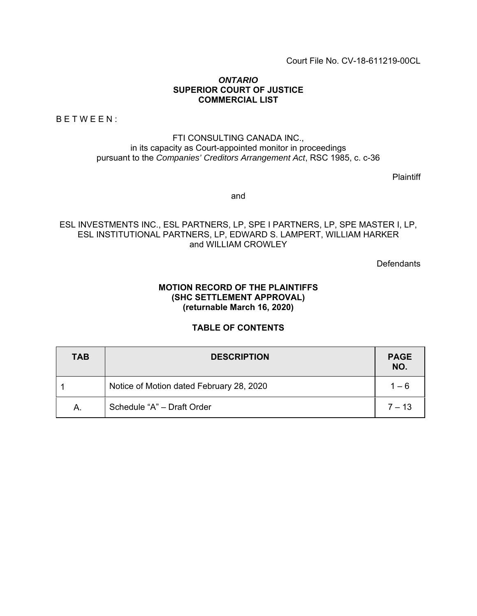Court File No. CV-18-611219-00CL

### *ONTARIO* **SUPERIOR COURT OF JUSTICE COMMERCIAL LIST**

BETWEEN:

## FTI CONSULTING CANADA INC., in its capacity as Court-appointed monitor in proceedings pursuant to the *Companies' Creditors Arrangement Act*, RSC 1985, c. c-36

**Plaintiff** 

and

# ESL INVESTMENTS INC., ESL PARTNERS, LP, SPE I PARTNERS, LP, SPE MASTER I, LP, ESL INSTITUTIONAL PARTNERS, LP, EDWARD S. LAMPERT, WILLIAM HARKER and WILLIAM CROWLEY

**Defendants** 

# **MOTION RECORD OF THE PLAINTIFFS (SHC SETTLEMENT APPROVAL) (returnable March 16, 2020)**

# **TABLE OF CONTENTS**

| <b>TAB</b> | <b>DESCRIPTION</b>                       |          |  |  |  |  |  |
|------------|------------------------------------------|----------|--|--|--|--|--|
|            | Notice of Motion dated February 28, 2020 | $1 - 6$  |  |  |  |  |  |
| А.         | Schedule "A" - Draft Order               | $7 - 13$ |  |  |  |  |  |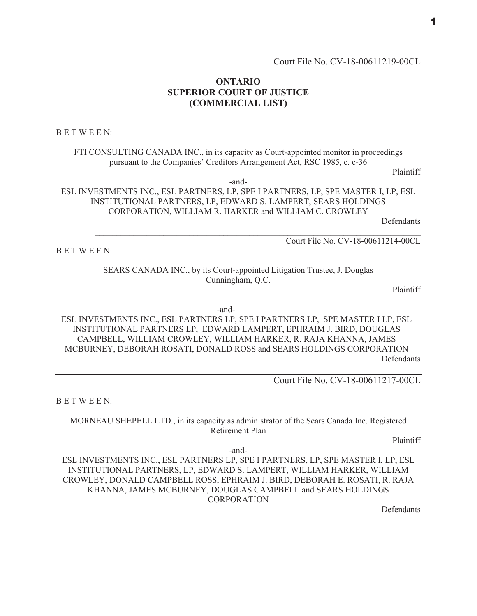# **ONTARIO SUPERIOR COURT OF JUSTICE** (COMMERCIAL LIST)

**BETWEEN:** 

FTI CONSULTING CANADA INC., in its capacity as Court-appointed monitor in proceedings pursuant to the Companies' Creditors Arrangement Act, RSC 1985, c. c-36

Plaintiff

 $-$ and $-$ 

ESL INVESTMENTS INC., ESL PARTNERS, LP, SPE I PARTNERS, LP, SPE MASTER I, LP, ESL INSTITUTIONAL PARTNERS, LP, EDWARD S. LAMPERT, SEARS HOLDINGS CORPORATION, WILLIAM R. HARKER and WILLIAM C. CROWLEY

Defendants

BETWEEN:

Court File No. CV-18-00611214-00CL

SEARS CANADA INC., by its Court-appointed Litigation Trustee, J. Douglas Cunningham, Q.C.

Plaintiff

-and-

ESL INVESTMENTS INC., ESL PARTNERS LP, SPE I PARTNERS LP, SPE MASTER I LP, ESL INSTITUTIONAL PARTNERS LP, EDWARD LAMPERT, EPHRAIM J. BIRD, DOUGLAS CAMPBELL, WILLIAM CROWLEY, WILLIAM HARKER, R. RAJA KHANNA, JAMES MCBURNEY, DEBORAH ROSATI, DONALD ROSS and SEARS HOLDINGS CORPORATION Defendants

Court File No. CV-18-00611217-00CL

BETWEEN:

MORNEAU SHEPELL LTD., in its capacity as administrator of the Sears Canada Inc. Registered Retirement Plan

Plaintiff

-and-

ESL INVESTMENTS INC., ESL PARTNERS LP, SPE I PARTNERS, LP, SPE MASTER I, LP, ESL INSTITUTIONAL PARTNERS, LP, EDWARD S. LAMPERT, WILLIAM HARKER, WILLIAM CROWLEY, DONALD CAMPBELL ROSS, EPHRAIM J. BIRD, DEBORAH E. ROSATI, R. RAJA KHANNA, JAMES MCBURNEY, DOUGLAS CAMPBELL and SEARS HOLDINGS **CORPORATION** 

Defendants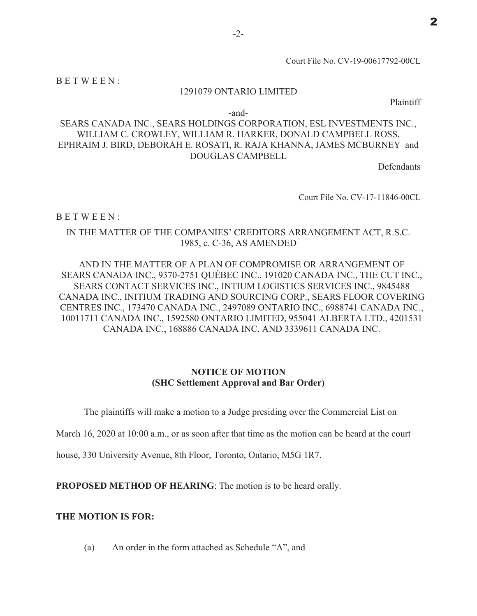Court File No. CV-19-00617792-00CL

BETWEEN:

### 1291079 ONTARIO LIMITED

Plaintiff

 $-$ and $-$ 

# SEARS CANADA INC., SEARS HOLDINGS CORPORATION, ESL INVESTMENTS INC., WILLIAM C. CROWLEY, WILLIAM R. HARKER, DONALD CAMPBELL ROSS, EPHRAIM J. BIRD, DEBORAH E. ROSATI, R. RAJA KHANNA, JAMES MCBURNEY and **DOUGLAS CAMPBELL**

**Defendants** 

Court File No. CV-17-11846-00CL

### BETWEEN:

# IN THE MATTER OF THE COMPANIES' CREDITORS ARRANGEMENT ACT, R.S.C. 1985, c. C-36, AS AMENDED

AND IN THE MATTER OF A PLAN OF COMPROMISE OR ARRANGEMENT OF SEARS CANADA INC., 9370-2751 QUÉBEC INC., 191020 CANADA INC., THE CUT INC., SEARS CONTACT SERVICES INC., INTIUM LOGISTICS SERVICES INC., 9845488 CANADA INC., INITIUM TRADING AND SOURCING CORP., SEARS FLOOR COVERING CENTRES INC., 173470 CANADA INC., 2497089 ONTARIO INC., 6988741 CANADA INC., 10011711 CANADA INC., 1592580 ONTARIO LIMITED, 955041 ALBERTA LTD., 4201531 CANADA INC., 168886 CANADA INC. AND 3339611 CANADA INC.

## **NOTICE OF MOTION** (SHC Settlement Approval and Bar Order)

The plaintiffs will make a motion to a Judge presiding over the Commercial List on

March 16, 2020 at 10:00 a.m., or as soon after that time as the motion can be heard at the court

house, 330 University Avenue, 8th Floor, Toronto, Ontario, M5G 1R7.

**PROPOSED METHOD OF HEARING:** The motion is to be heard orally.

### THE MOTION IS FOR:

An order in the form attached as Schedule "A", and  $(a)$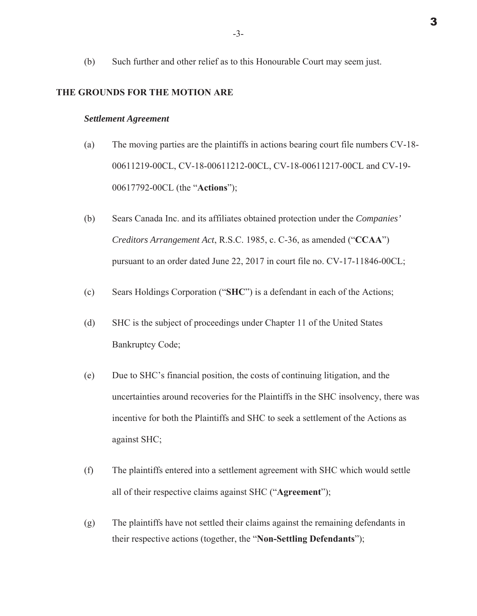Such further and other relief as to this Honourable Court may seem just. (b)

#### THE GROUNDS FOR THE MOTION ARE

#### **Settlement Agreement**

- The moving parties are the plaintiffs in actions bearing court file numbers CV-18- $(a)$ 00611219-00CL, CV-18-00611212-00CL, CV-18-00611217-00CL and CV-19-00617792-00CL (the "Actions");
- $(b)$ Sears Canada Inc. and its affiliates obtained protection under the Companies' Creditors Arrangement Act, R.S.C. 1985, c. C-36, as amended ("CCAA") pursuant to an order dated June 22, 2017 in court file no. CV-17-11846-00CL;
- $(c)$ Sears Holdings Corporation ("SHC") is a defendant in each of the Actions;
- $(d)$ SHC is the subject of proceedings under Chapter 11 of the United States **Bankruptcy Code;**
- $(e)$ Due to SHC's financial position, the costs of continuing litigation, and the uncertainties around recoveries for the Plaintiffs in the SHC insolvency, there was incentive for both the Plaintiffs and SHC to seek a settlement of the Actions as against SHC;
- $(f)$ The plaintiffs entered into a settlement agreement with SHC which would settle all of their respective claims against SHC ("Agreement");
- $(g)$ The plaintiffs have not settled their claims against the remaining defendants in their respective actions (together, the "Non-Settling Defendants");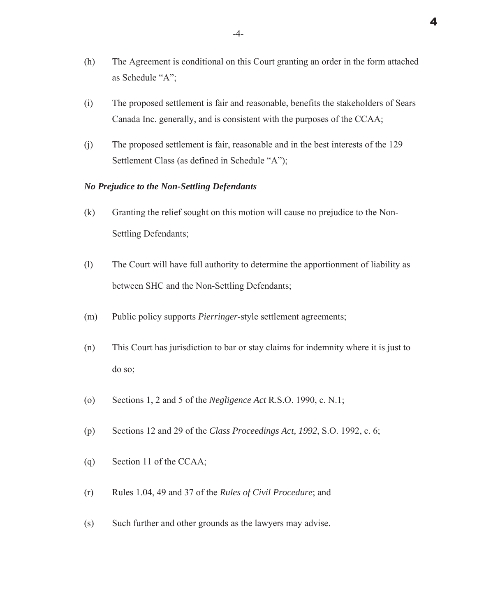- $(h)$ The Agreement is conditional on this Court granting an order in the form attached as Schedule "A":
- The proposed settlement is fair and reasonable, benefits the stakeholders of Sears  $(i)$ Canada Inc. generally, and is consistent with the purposes of the CCAA;
- $(i)$ The proposed settlement is fair, reasonable and in the best interests of the 129 Settlement Class (as defined in Schedule "A");

### **No Prejudice to the Non-Settling Defendants**

- $(k)$ Granting the relief sought on this motion will cause no prejudice to the Non-Settling Defendants;
- $(1)$ The Court will have full authority to determine the apportionment of liability as between SHC and the Non-Settling Defendants;
- Public policy supports *Pierringer*-style settlement agreements;  $(m)$
- $(n)$ This Court has jurisdiction to bar or stay claims for indemnity where it is just to do so:
- Sections 1, 2 and 5 of the *Negligence Act* R.S.O. 1990, c. N.1;  $\circ$
- Sections 12 and 29 of the Class Proceedings Act, 1992, S.O. 1992, c. 6;  $(p)$
- $(q)$ Section 11 of the CCAA;
- $(r)$ Rules 1.04, 49 and 37 of the Rules of Civil Procedure; and
- Such further and other grounds as the lawyers may advise.  $(s)$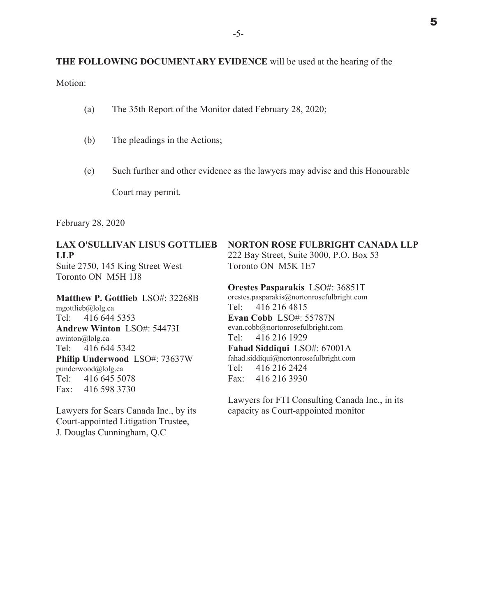Motion:

- The 35th Report of the Monitor dated February 28, 2020;  $(a)$
- (b) The pleadings in the Actions;
- $(c)$ Such further and other evidence as the lawyers may advise and this Honourable

Court may permit.

February 28, 2020

## **LAX O'SULLIVAN LISUS GOTTLIEB**  $LI.P$ Suite 2750, 145 King Street West

Toronto ON M5H 1J8

Matthew P. Gottlieb LSO#: 32268B mgottlieb@lolg.ca 416 644 5353 Tel: **Andrew Winton LSO#: 54473I** awinton@lolg.ca Tel: 416 644 5342 Philip Underwood LSO#: 73637W punderwood@lolg.ca  $Tel:$ 416 645 5078 Fax: 416 598 3730

Lawyers for Sears Canada Inc., by its Court-appointed Litigation Trustee, J. Douglas Cunningham, Q.C.

# **NORTON ROSE FULBRIGHT CANADA LLP**

222 Bay Street, Suite 3000, P.O. Box 53 Toronto ON M5K 1E7

#### Orestes Pasparakis LSO#: 36851T

orestes.pasparakis@nortonrosefulbright.com Tel: 416 216 4815 Evan Cobb LSO#: 55787N evan.cobb@nortonrosefulbright.com Tel: 416 216 1929 Fahad Siddiqui LSO#: 67001A fahad.siddiqui@nortonrosefulbright.com Tel: 416 216 2424  $Fax:$ 416 216 3930

Lawyers for FTI Consulting Canada Inc., in its capacity as Court-appointed monitor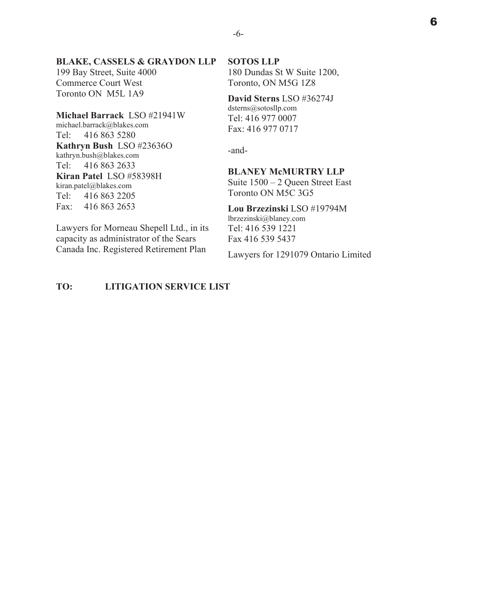### **BLAKE, CASSELS & GRAYDON LLP**

199 Bay Street, Suite 4000 Commerce Court West Toronto ON M5L 1A9

#### **Michael Barrack LSO #21941W**

michael.barrack@blakes.com Tel: 416 863 5280 **Kathryn Bush LSO #236360** kathryn.bush@blakes.com Tel:  $4168632633$ **Kiran Patel LSO #58398H** kiran.patel@blakes.com Tel: 416 863 2205 Fax: 416 863 2653

Lawyers for Morneau Shepell Ltd., in its capacity as administrator of the Sears Canada Inc. Registered Retirement Plan

# **70: LITIGATION SERVICE LIST**

#### **62706 LLP**

180 Dundas St W Suite 1200, Toronto, ON M5G 1Z8

David Sterns LSO #36274J  $dsterns@sotosllp.com$ Tel: 416 977 0007 Fax: 416 977 0717

-and-

# **BLANEY McMURTRY LLP**

Suite  $1500 - 2$  Queen Street East Toronto ON M5C 3G5

### Lou Brzezinski LSO #19794M

lbrzezinski@blaney.com Tel: 416 539 1221 Fax 416 539 5437

Lawyers for 1291079 Ontario Limited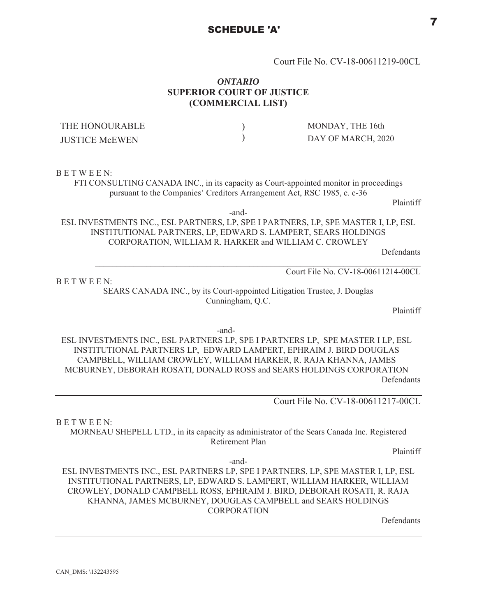# Court File No. CV-18-00611219-00CL

# **ONTARIO SUPERIOR COURT OF JUSTICE** (COMMERCIAL LIST)

| THE HONOURABLE        | MONDAY, THE 16th   |
|-----------------------|--------------------|
| <b>JUSTICE McEWEN</b> | DAY OF MARCH, 2020 |

#### **BETWEEN:**

BETWEEN:

FTI CONSULTING CANADA INC., in its capacity as Court-appointed monitor in proceedings pursuant to the Companies' Creditors Arrangement Act, RSC 1985, c. c-36

Plaintiff

-and-

ESL INVESTMENTS INC., ESL PARTNERS, LP, SPE I PARTNERS, LP, SPE MASTER I, LP, ESL INSTITUTIONAL PARTNERS, LP, EDWARD S. LAMPERT, SEARS HOLDINGS CORPORATION, WILLIAM R. HARKER and WILLIAM C. CROWLEY

Defendants

Court File No. CV-18-00611214-00CL

SEARS CANADA INC., by its Court-appointed Litigation Trustee, J. Douglas Cunningham, Q.C.

Plaintiff

-and-

ESL INVESTMENTS INC., ESL PARTNERS LP, SPE I PARTNERS LP, SPE MASTER I LP, ESL INSTITUTIONAL PARTNERS LP, EDWARD LAMPERT, EPHRAIM J. BIRD DOUGLAS CAMPBELL, WILLIAM CROWLEY, WILLIAM HARKER, R. RAJA KHANNA, JAMES MCBURNEY, DEBORAH ROSATI, DONALD ROSS and SEARS HOLDINGS CORPORATION Defendants

Court File No. CV-18-00611217-00CL

**BETWEEN:** 

MORNEAU SHEPELL LTD., in its capacity as administrator of the Sears Canada Inc. Registered Retirement Plan

Plaintiff

-and-

ESL INVESTMENTS INC., ESL PARTNERS LP, SPE I PARTNERS, LP, SPE MASTER I, LP, ESL INSTITUTIONAL PARTNERS, LP, EDWARD S. LAMPERT, WILLIAM HARKER, WILLIAM CROWLEY, DONALD CAMPBELL ROSS, EPHRAIM J. BIRD, DEBORAH ROSATI, R. RAJA KHANNA, JAMES MCBURNEY, DOUGLAS CAMPBELL and SEARS HOLDINGS **CORPORATION** 

Defendants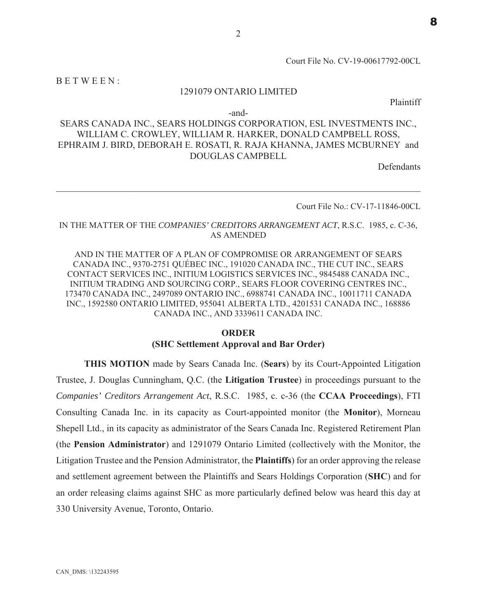Court File No. CV-19-00617792-00CL

BETWEEN:

# 1291079 ONTARIO LIMITED

Plaintiff

-and-

# SEARS CANADA INC., SEARS HOLDINGS CORPORATION, ESL INVESTMENTS INC., WILLIAM C. CROWLEY, WILLIAM R. HARKER, DONALD CAMPBELL ROSS, EPHRAIM J. BIRD, DEBORAH E. ROSATI, R. RAJA KHANNA, JAMES MCBURNEY and **DOUGLAS CAMPBELL**

**Defendants** 

Court File No.: CV-17-11846-00CL

### IN THE MATTER OF THE COMPANIES' CREDITORS ARRANGEMENT ACT, R.S.C. 1985, c. C-36, **AS AMENDED**

AND IN THE MATTER OF A PLAN OF COMPROMISE OR ARRANGEMENT OF SEARS CANADA INC., 9370-2751 QUÉBEC INC., 191020 CANADA INC., THE CUT INC., SEARS CONTACT SERVICES INC., INITIUM LOGISTICS SERVICES INC., 9845488 CANADA INC., INITIUM TRADING AND SOURCING CORP., SEARS FLOOR COVERING CENTRES INC., 173470 CANADA INC., 2497089 ONTARIO INC., 6988741 CANADA INC., 10011711 CANADA INC., 1592580 ONTARIO LIMITED, 955041 ALBERTA LTD., 4201531 CANADA INC., 168886 CANADA INC., AND 3339611 CANADA INC.

# **ORDER** (SHC Settlement Approval and Bar Order)

**THIS MOTION** made by Sears Canada Inc. (Sears) by its Court-Appointed Litigation Trustee, J. Douglas Cunningham, Q.C. (the Litigation Trustee) in proceedings pursuant to the Companies' Creditors Arrangement Act, R.S.C. 1985, c. c-36 (the CCAA Proceedings), FTI Consulting Canada Inc. in its capacity as Court-appointed monitor (the **Monitor**), Morneau Shepell Ltd., in its capacity as administrator of the Sears Canada Inc. Registered Retirement Plan (the Pension Administrator) and 1291079 Ontario Limited (collectively with the Monitor, the Litigation Trustee and the Pension Administrator, the Plaintiffs) for an order approving the release and settlement agreement between the Plaintiffs and Sears Holdings Corporation (SHC) and for an order releasing claims against SHC as more particularly defined below was heard this day at 330 University Avenue, Toronto, Ontario.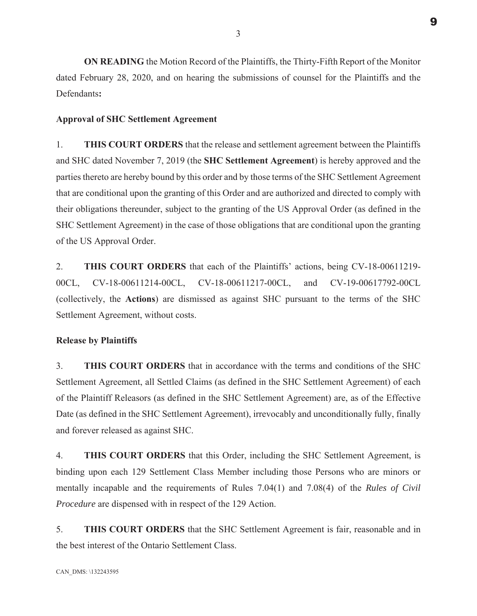**ON READING** the Motion Record of the Plaintiffs, the Thirty-Fifth Report of the Monitor dated February 28, 2020, and on hearing the submissions of counsel for the Plaintiffs and the Defendants:

### **Approval of SHC Settlement Agreement**

 $1<sub>1</sub>$ **THIS COURT ORDERS** that the release and settlement agreement between the Plaintiffs and SHC dated November 7, 2019 (the SHC Settlement Agreement) is hereby approved and the parties thereto are hereby bound by this order and by those terms of the SHC Settlement Agreement that are conditional upon the granting of this Order and are authorized and directed to comply with their obligations thereunder, subject to the granting of the US Approval Order (as defined in the SHC Settlement Agreement) in the case of those obligations that are conditional upon the granting of the US Approval Order.

 $2.$ THIS COURT ORDERS that each of the Plaintiffs' actions, being CV-18-00611219- $00CL$ , CV-18-00611214-00CL, CV-18-00611217-00CL, and CV-19-00617792-00CL (collectively, the Actions) are dismissed as against SHC pursuant to the terms of the SHC Settlement Agreement, without costs.

#### **Release by Plaintiffs**

**THIS COURT ORDERS** that in accordance with the terms and conditions of the SHC  $\mathcal{E}$ Settlement Agreement, all Settled Claims (as defined in the SHC Settlement Agreement) of each of the Plaintiff Releasors (as defined in the SHC Settlement Agreement) are, as of the Effective Date (as defined in the SHC Settlement Agreement), irrevocably and unconditionally fully, finally and forever released as against SHC.

 $\overline{4}$ . **THIS COURT ORDERS** that this Order, including the SHC Settlement Agreement, is binding upon each 129 Settlement Class Member including those Persons who are minors or mentally incapable and the requirements of Rules 7.04(1) and 7.08(4) of the Rules of Civil *Procedure* are dispensed with in respect of the 129 Action.

 $5<sub>1</sub>$ **THIS COURT ORDERS** that the SHC Settlement Agreement is fair, reasonable and in the best interest of the Ontario Settlement Class.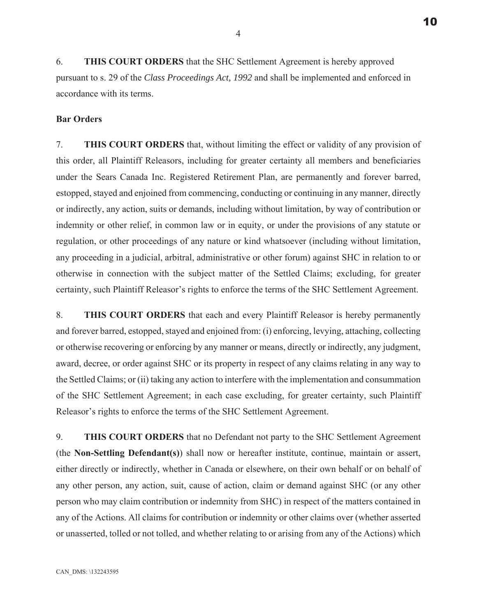6. **THIS COURT ORDERS** that the SHC Settlement Agreement is hereby approved pursuant to s. 29 of the *Class Proceedings Act, 1992* and shall be implemented and enforced in accordance with its terms.

### **Bar Orders**

7. THIS COURT ORDERS that, without limiting the effect or validity of any provision of this order, all Plaintiff Releasors, including for greater certainty all members and beneficiaries under the Sears Canada Inc. Registered Retirement Plan, are permanently and forever barred, estopped, stayed and enjoined from commencing, conducting or continuing in any manner, directly or indirectly, any action, suits or demands, including without limitation, by way of contribution or indemnity or other relief, in common law or in equity, or under the provisions of any statute or regulation, or other proceedings of any nature or kind whatsoever (including without limitation, any proceeding in a judicial, arbitral, administrative or other forum) against SHC in relation to or otherwise in connection with the subject matter of the Settled Claims; excluding, for greater certainty, such Plaintiff Releasor's rights to enforce the terms of the SHC Settlement Agreement.

8. THIS COURT ORDERS that each and every Plaintiff Releasor is hereby permanently and forever barred, estopped, stayed and enjoined from:  $(i)$  enforcing, levying, attaching, collecting or otherwise recovering or enforcing by any manner or means, directly or indirectly, any judgment, award, decree, or order against SHC or its property in respect of any claims relating in any way to the Settled Claims; or (ii) taking any action to interfere with the implementation and consummation of the SHC Settlement Agreement; in each case excluding, for greater certainty, such Plaintiff Releasor's rights to enforce the terms of the SHC Settlement Agreement.

9. THIS COURT ORDERS that no Defendant not party to the SHC Settlement Agreement (the Non-Settling Defendant(s)) shall now or hereafter institute, continue, maintain or assert, either directly or indirectly, whether in Canada or elsewhere, on their own behalf or on behalf of any other person, any action, suit, cause of action, claim or demand against SHC (or any other person who may claim contribution or indemnity from SHC) in respect of the matters contained in any of the Actions. All claims for contribution or indemnity or other claims over (whether asserted or unasserted, tolled or not tolled, and whether relating to or arising from any of the Actions) which

 $\overline{4}$ 

10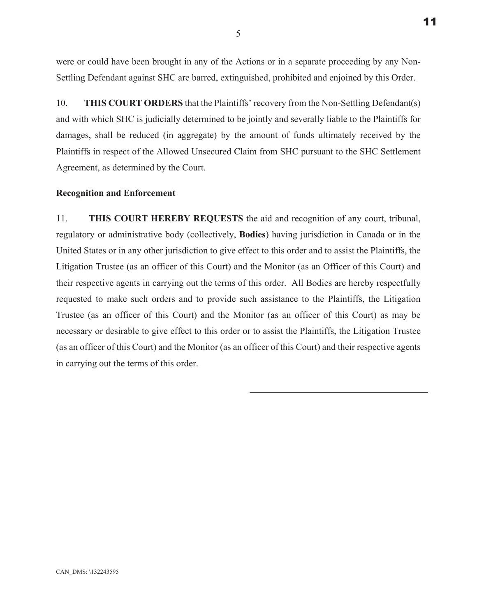$11$ 

were or could have been brought in any of the Actions or in a separate proceeding by any Non-Settling Defendant against SHC are barred, extinguished, prohibited and enjoined by this Order.

10. **THIS COURT ORDERS** that the Plaintiffs' recovery from the Non-Settling Defendant(s) and with which SHC is judicially determined to be jointly and severally liable to the Plaintiffs for damages, shall be reduced (in aggregate) by the amount of funds ultimately received by the Plaintiffs in respect of the Allowed Unsecured Claim from SHC pursuant to the SHC Settlement Agreement, as determined by the Court.

## **Recognition and Enforcement**

11. THIS COURT HEREBY REQUESTS the aid and recognition of any court, tribunal, regulatory or administrative body (collectively, **Bodies**) having jurisdiction in Canada or in the United States or in any other jurisdiction to give effect to this order and to assist the Plaintiffs, the Litigation Trustee (as an officer of this Court) and the Monitor (as an Officer of this Court) and their respective agents in carrying out the terms of this order. All Bodies are hereby respectfully requested to make such orders and to provide such assistance to the Plaintiffs, the Litigation Trustee (as an officer of this Court) and the Monitor (as an officer of this Court) as may be necessary or desirable to give effect to this order or to assist the Plaintiffs, the Litigation Trustee (as an officer of this Court) and the Monitor (as an officer of this Court) and their respective agents in carrying out the terms of this order.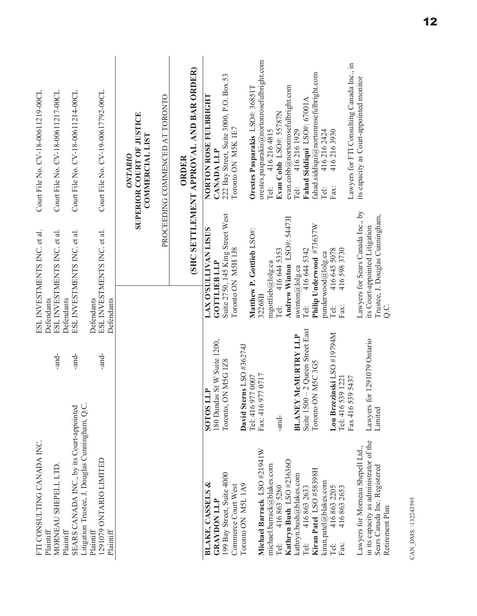| Court File No. CV-18-00611219-00CL | Court File No. CV-18-00611217-00CL                      | Court File No. CV-18-00611214-00CL                                                           | Court File No. CV-19-00617792-00CL                      | <b>SUPERIOR COURT OF JUSTICE</b><br>COMMERCIAL LIST<br>ONTARIO | PROCEEDING COMMENCED AT TORONTO<br>ORDER | (SHC SETTLEMENT APPROVAL AND BAR ORDER) | orestes.pasparakis@nortonrosefulbright.com<br>Lawyers for FTI Consulting Canada Inc., in<br>fahad.siddiqui@nortonrosefulbright.com<br>222 Bay Street, Suite 3000, P.O. Box 53<br>its capacity as Court-appointed monitor<br>evan.cobb@nortonrosefulbright.com<br>Orestes Pasparakis LSO#: 36851T<br>NORTON ROSE FULBRIGHT<br>Fahad Siddiqui LSO#: 67001A<br>Evan Cobb LSO#: 55787N<br>Toronto ON MSK 1E7<br>4162161929<br>4162164815<br>4162162424<br>4162163930<br><b>CANADA LLP</b><br>Tel:<br>Tel:<br>Fax:<br>Tel: |  |
|------------------------------------|---------------------------------------------------------|----------------------------------------------------------------------------------------------|---------------------------------------------------------|----------------------------------------------------------------|------------------------------------------|-----------------------------------------|-----------------------------------------------------------------------------------------------------------------------------------------------------------------------------------------------------------------------------------------------------------------------------------------------------------------------------------------------------------------------------------------------------------------------------------------------------------------------------------------------------------------------|--|
| ESL INVESTMENTS INC. et al.        | ESL INVESTMENTS INC. et al.<br>Defendants<br>Defendants | ESL INVESTMENTS INC. et al.                                                                  | ESL INVESTMENTS INC. et al.<br>Defendants<br>Defendants |                                                                |                                          |                                         | Lawyers for Sears Canada Inc., by<br>Suite 2750, 145 King Street West<br>Trustee, J. Douglas Cunningham,<br>Andrew Winton LSO#: 544731<br>Philip Underwood #73637W<br>its Court-appointed Litigation<br><b>LAX O'SULLIVAN LISUS</b><br>Matthew P. Gottlieb LSO#:<br>Toronto ON M5H 1J8<br>416 644 5353<br>4165983730<br>416 644 5342<br>punderwood@lolg.ca<br>Tel: $4166455078$<br>mgottlieb@lolg.ca<br><b>GOTTLIEB LLP</b><br>awinton@lolg.ca<br>32268B<br>Tel:<br>Tel:<br>Fax:<br>C.C                               |  |
|                                    | -and-                                                   | -and-                                                                                        | -and-                                                   |                                                                |                                          |                                         | Suite 1500 - 2 Queen Street East<br>Lou Brzezinski LSO #19794M<br><b>BLANEY MCMURTRY LLP</b><br>Lawyers for 1291079 Ontario<br>180 Dundas St W Suite 1200,<br>David Sterns LSO #36274J<br>Toronto, ON M5G 1Z8<br>Toronto ON M5C 3G5<br>Fax: 416 977 0717<br>Tel: 416 977 0007<br>539 1221<br>539 5437<br><b>ATT SOLOS</b><br>Tel:416<br>Fax 416<br>Limited<br>-and-                                                                                                                                                   |  |
| FTI CONSULTING CANADA INC.         | MORNEAU SHEPELL LTD<br>Plaintiff<br>Plaintiff           | Litigation Trustee, J. Douglas Cunningham, Q.C.<br>SEARS CANADA INC., by its Court-appointed | 1291079 ONTARIO LIMITED<br>Plaintiff<br>Plaintiff       |                                                                |                                          |                                         | in its capacity as administrator of the<br>Lawyers for Momeau Shepell Ltd.,<br>Michael Barrack LSO #21941W<br>Kathryn Bush LSO #236360<br>michael.barrack@blakes.com<br>Sears Canada Inc. Registered<br>Kiran Patel LSO #58398H<br>199 Bay Street, Suite 4000<br>kathryn.bush@blakes.com<br>kiran.patel@blakes.com<br>BLAKE, CASSELS &<br>Toronto ON M5L 1A9<br>Commerce Court West<br>4168635280<br>4168632633<br>4168632205<br>4168632653<br><b>GRAYDON LLP</b><br>Retirement Plan<br>Tel:<br>Tel:<br>Fax:<br>Tel:  |  |

CAN\_DMS: \132243595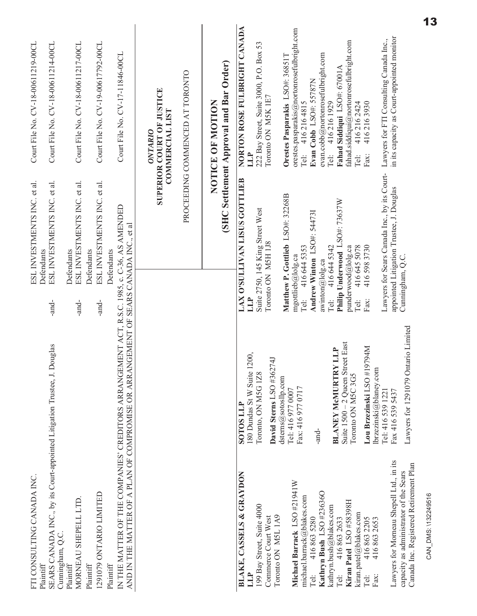| Court File No. CV-18-00611219-00CL        | Court File No. CV-18-00611214-00CL                                                   | Court File No. CV-18-00611217-00CL        | Court File No. CV-19-00617792-00CL        | Court File No. CV-17-11846-00CL                                                                                                                                                     | SUPERIOR COURT OF JUSTICE<br>COMMERCIAL LIST<br>ONTARIO | PROCEEDING COMMENCED AT TORONTO | (SHC Settlement Approval and Bar Order)<br>NOTICE OF MOTION | NORTON ROSE FULBRIGHT CANADA<br>LLP                       | 222 Bay Street, Suite 3000, P.O. Box 53<br>Toronto ON M5K 1E7 | Orestes Pasparakis LSO#: 36851T  | orestes.pasparakis@nortonrosefulbright.com<br>4162164815<br>Tel: | evan.cobb@nortonrosefulbright.com<br>Evan Cobb LSO#: 55787N<br>4162161929 | $\mbox{fahad.siddiqui@nortonrosefulbright.com}$<br>Fahad Siddiqui LSO#: 67001A<br>4162162424<br>Tel:<br>Tai: | 4162163930<br>Fax:                                           | in its capacity as Court-appointed monitor<br>Lawyers for FTI Consulting Canada Inc.,                                        |
|-------------------------------------------|--------------------------------------------------------------------------------------|-------------------------------------------|-------------------------------------------|-------------------------------------------------------------------------------------------------------------------------------------------------------------------------------------|---------------------------------------------------------|---------------------------------|-------------------------------------------------------------|-----------------------------------------------------------|---------------------------------------------------------------|----------------------------------|------------------------------------------------------------------|---------------------------------------------------------------------------|--------------------------------------------------------------------------------------------------------------|--------------------------------------------------------------|------------------------------------------------------------------------------------------------------------------------------|
| ESL INVESTMENTS INC. et al.<br>Defendants | ESL INVESTMENTS INC. et al.                                                          | ESL INVESTMENTS INC. et al.<br>Defendants | ESL INVESTMENTS INC. et al.<br>Defendants | Defendants                                                                                                                                                                          |                                                         |                                 |                                                             | LAX O'SULLIVAN LISUS GOTTLIEB                             | Suite 2750, 145 King Street West<br>Toronto ON M5H 1J8        | Matthew P. Gottlieb LSO#: 32268B | 416 644 5353<br>mgottileb@lolg.ca                                | Andrew Winton LSO#: 544731<br>416 644 5342<br>awinton@lolg.ca             | Philip Underwood LSO#: 73637W<br>416 645 5078<br>punderwood@lolg.ca                                          | 4165983730                                                   | Lawyers for Sears Canada Inc., by its Court-<br>appointed Litigation Trustee, J. Douglas<br>Cunningham, Q.C.                 |
|                                           | -and-<br>Douglas                                                                     | -and-                                     | -and-                                     | IN THE MATTER OF THE COMPANIES' CREDITORS ARRANGEMENT ACT, R.S.C. 1985, c. C-36, AS AMENDED<br>AND IN THE MATTER OF A PLAN OF COMPROMISE OR ARRANGEMENT OF SEARS CANADA INC., et al |                                                         |                                 |                                                             | LLP<br>1200,<br>180 Dundas St W Suite<br><b>SOTOS LLP</b> | David Sterns LSO #36274J<br>Toronto, ON M5G 1Z8               | dsterns@sotosllp.com             | Tel:<br>Fax: 416 977 0717<br>Tel: 416 977 0007                   | Tel:<br>-and-                                                             | Tel:<br>treet East<br><b>BLANEY MCMURTRY LLP</b><br>Suite $1500 - 2$ Queen S<br>Toronto ON M5C 3G5           | Fax:<br>Lou Brzezinski LSO #19794M<br>lbrzezinski@blaney.com | Lawyers for 1291079 Ontario Limited<br>Fax 416 539 5437<br>Tel: 416 539 1221                                                 |
| FTI CONSULTING CANADA INC<br>Plaintiff    | SEARS CANADA INC., by its Court-appointed Litigation Trustee, J.<br>Cunningham, Q.C. | MORNEAU SHEPELL LTD.<br>Plaintiff         | 1291079 ONTARIO LIMITED<br>Plaintiff      | Plaintiff                                                                                                                                                                           |                                                         |                                 |                                                             | BLAKE, CASSELS & GRAYDON<br>LLP                           | 199 Bay Street, Suite 4000<br>Commerce Court West             | Toronto ON M5L 1A9               | Michael Barrack LSO #21941W<br>michael.barrack@blakes.com        | Kathryn Bush LSO #236360<br>4168635280<br>.<br>Pel:                       | Kiran Patel LSO #58398H<br>kathryn.bush@blakes.com<br>kiran.patel@blakes.com<br>4168632633<br>Tel:           | 4168632205<br>4168632653<br>Fax:<br>Tel:                     | Lawyers for Morneau Shepell Ltd., in its<br>Canada Inc. Registered Retirement Plan<br>capacity as administrator of the Sears |

CAN\_DMS: \132249516

 $\boxed{13}$